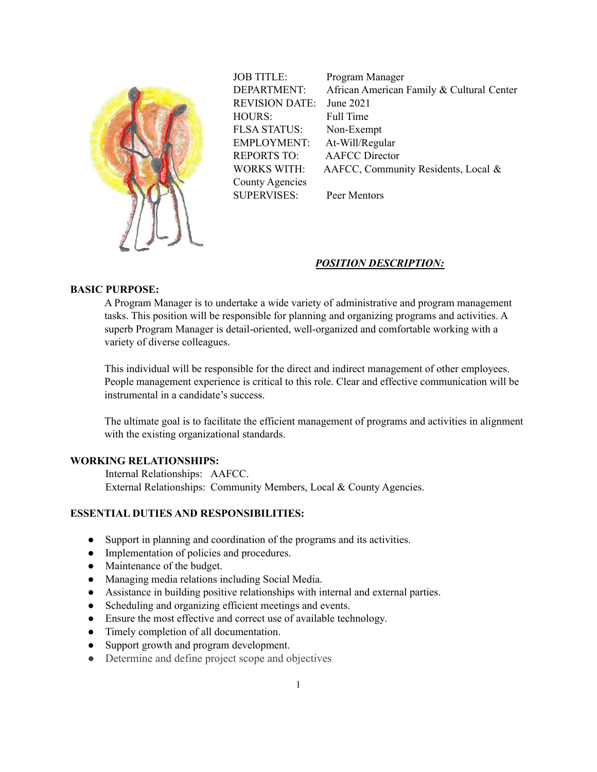

JOB TITLE: Program Manager DEPARTMENT: African American Family & Cultural Center REVISION DATE: June 2021 HOURS: Full Time FLSA STATUS: Non-Exempt EMPLOYMENT: At-Will/Regular REPORTS TO: AAFCC Director WORKS WITH: AAFCC, Community Residents, Local & County Agencies SUPERVISES: Peer Mentors

### *POSITION DESCRIPTION:*

# **BASIC PURPOSE:**

A Program Manager is to undertake a wide variety of administrative and program management tasks. This position will be responsible for planning and organizing programs and activities. A superb Program Manager is detail-oriented, well-organized and comfortable working with a variety of diverse colleagues.

This individual will be responsible for the direct and indirect management of other employees. People management experience is critical to this role. Clear and effective communication will be instrumental in a candidate's success.

The ultimate goal is to facilitate the efficient management of programs and activities in alignment with the existing organizational standards.

## **WORKING RELATIONSHIPS:**

Internal Relationships: AAFCC. External Relationships: Community Members, Local & County Agencies.

## **ESSENTIAL DUTIES AND RESPONSIBILITIES:**

- Support in planning and coordination of the programs and its activities.
- Implementation of policies and procedures.
- Maintenance of the budget.
- Managing media relations including Social Media.
- Assistance in building positive relationships with internal and external parties.
- Scheduling and organizing efficient meetings and events.
- Ensure the most effective and correct use of available technology.
- Timely completion of all documentation.
- Support growth and program development.
- Determine and define project scope and objectives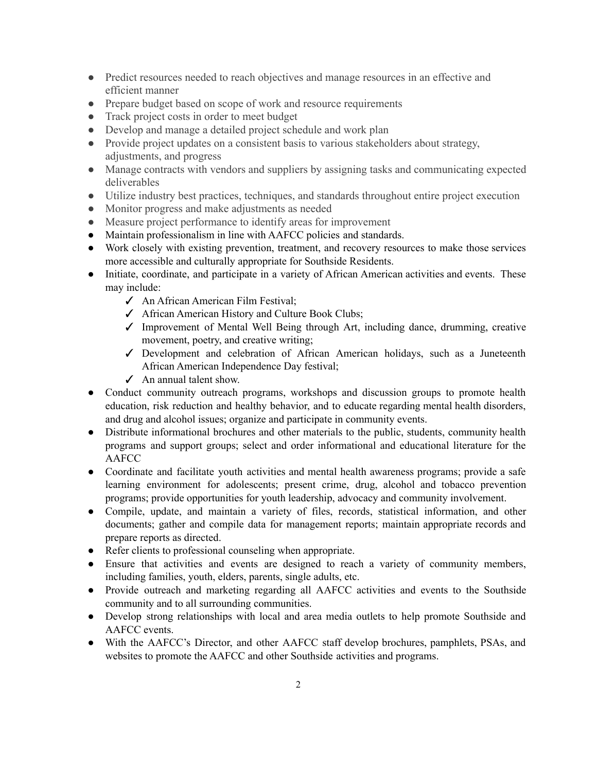- Predict resources needed to reach objectives and manage resources in an effective and efficient manner
- Prepare budget based on scope of work and resource requirements
- Track project costs in order to meet budget
- Develop and manage a detailed project schedule and work plan
- Provide project updates on a consistent basis to various stakeholders about strategy, adjustments, and progress
- Manage contracts with vendors and suppliers by assigning tasks and communicating expected deliverables
- Utilize industry best practices, techniques, and standards throughout entire project execution
- Monitor progress and make adjustments as needed
- Measure project performance to identify areas for improvement
- Maintain professionalism in line with AAFCC policies and standards.
- Work closely with existing prevention, treatment, and recovery resources to make those services more accessible and culturally appropriate for Southside Residents.
- Initiate, coordinate, and participate in a variety of African American activities and events. These may include:
	- ✓ An African American Film Festival;
	- ✓ African American History and Culture Book Clubs;
	- ✓ Improvement of Mental Well Being through Art, including dance, drumming, creative movement, poetry, and creative writing;
	- ✓ Development and celebration of African American holidays, such as a Juneteenth African American Independence Day festival;
	- ✓ An annual talent show.
- Conduct community outreach programs, workshops and discussion groups to promote health education, risk reduction and healthy behavior, and to educate regarding mental health disorders, and drug and alcohol issues; organize and participate in community events.
- Distribute informational brochures and other materials to the public, students, community health programs and support groups; select and order informational and educational literature for the AAFCC
- Coordinate and facilitate youth activities and mental health awareness programs; provide a safe learning environment for adolescents; present crime, drug, alcohol and tobacco prevention programs; provide opportunities for youth leadership, advocacy and community involvement.
- Compile, update, and maintain a variety of files, records, statistical information, and other documents; gather and compile data for management reports; maintain appropriate records and prepare reports as directed.
- Refer clients to professional counseling when appropriate.
- Ensure that activities and events are designed to reach a variety of community members, including families, youth, elders, parents, single adults, etc.
- Provide outreach and marketing regarding all AAFCC activities and events to the Southside community and to all surrounding communities.
- Develop strong relationships with local and area media outlets to help promote Southside and AAFCC events.
- With the AAFCC's Director, and other AAFCC staff develop brochures, pamphlets, PSAs, and websites to promote the AAFCC and other Southside activities and programs.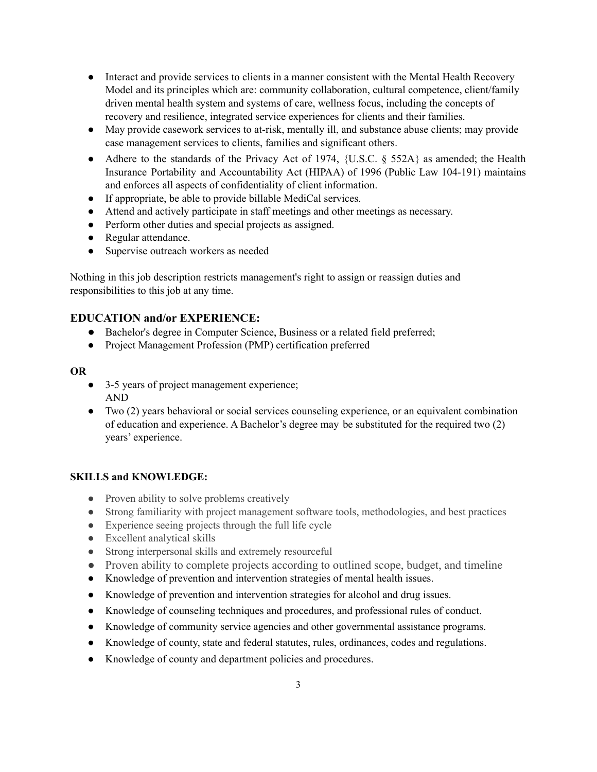- Interact and provide services to clients in a manner consistent with the Mental Health Recovery Model and its principles which are: community collaboration, cultural competence, client/family driven mental health system and systems of care, wellness focus, including the concepts of recovery and resilience, integrated service experiences for clients and their families.
- May provide casework services to at-risk, mentally ill, and substance abuse clients; may provide case management services to clients, families and significant others.
- Adhere to the standards of the Privacy Act of 1974,  $\{U.S.C. \$ § 552A $\}$  as amended; the Health Insurance Portability and Accountability Act (HIPAA) of 1996 (Public Law 104-191) maintains and enforces all aspects of confidentiality of client information.
- If appropriate, be able to provide billable MediCal services.
- Attend and actively participate in staff meetings and other meetings as necessary.
- Perform other duties and special projects as assigned.
- Regular attendance.
- Supervise outreach workers as needed

Nothing in this job description restricts management's right to assign or reassign duties and responsibilities to this job at any time.

# **EDUCATION and/or EXPERIENCE:**

- Bachelor's degree in Computer Science, Business or a related field preferred;
- Project Management Profession (PMP) certification preferred

### **OR**

- 3-5 years of project management experience; AND
- Two (2) years behavioral or social services counseling experience, or an equivalent combination of education and experience. A Bachelor's degree may be substituted for the required two (2) years' experience.

## **SKILLS and KNOWLEDGE:**

- Proven ability to solve problems creatively
- Strong familiarity with project management software tools, methodologies, and best practices
- Experience seeing projects through the full life cycle
- Excellent analytical skills
- Strong interpersonal skills and extremely resourceful
- Proven ability to complete projects according to outlined scope, budget, and timeline
- Knowledge of prevention and intervention strategies of mental health issues.
- Knowledge of prevention and intervention strategies for alcohol and drug issues.
- Knowledge of counseling techniques and procedures, and professional rules of conduct.
- Knowledge of community service agencies and other governmental assistance programs.
- Knowledge of county, state and federal statutes, rules, ordinances, codes and regulations.
- Knowledge of county and department policies and procedures.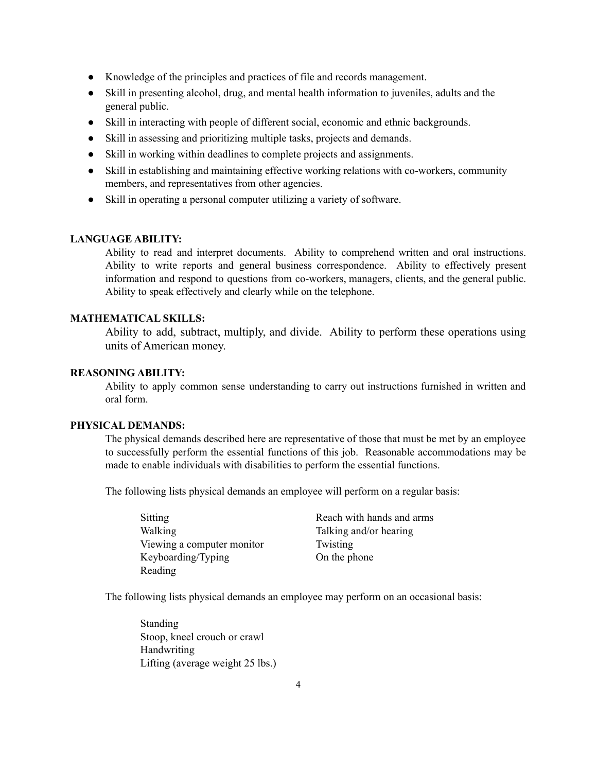- Knowledge of the principles and practices of file and records management.
- Skill in presenting alcohol, drug, and mental health information to juveniles, adults and the general public.
- Skill in interacting with people of different social, economic and ethnic backgrounds.
- Skill in assessing and prioritizing multiple tasks, projects and demands.
- Skill in working within deadlines to complete projects and assignments.
- Skill in establishing and maintaining effective working relations with co-workers, community members, and representatives from other agencies.
- Skill in operating a personal computer utilizing a variety of software.

#### **LANGUAGE ABILITY:**

Ability to read and interpret documents. Ability to comprehend written and oral instructions. Ability to write reports and general business correspondence. Ability to effectively present information and respond to questions from co-workers, managers, clients, and the general public. Ability to speak effectively and clearly while on the telephone.

# **MATHEMATICAL SKILLS:**

Ability to add, subtract, multiply, and divide. Ability to perform these operations using units of American money.

#### **REASONING ABILITY:**

Ability to apply common sense understanding to carry out instructions furnished in written and oral form.

## **PHYSICAL DEMANDS:**

The physical demands described here are representative of those that must be met by an employee to successfully perform the essential functions of this job. Reasonable accommodations may be made to enable individuals with disabilities to perform the essential functions.

The following lists physical demands an employee will perform on a regular basis:

| <b>Sitting</b>             |
|----------------------------|
| Walking                    |
| Viewing a computer monitor |
| Keyboarding/Typing         |
| Reading                    |

Reach with hands and arms Talking and/or hearing Twisting On the phone

The following lists physical demands an employee may perform on an occasional basis:

Standing Stoop, kneel crouch or crawl Handwriting Lifting (average weight 25 lbs.)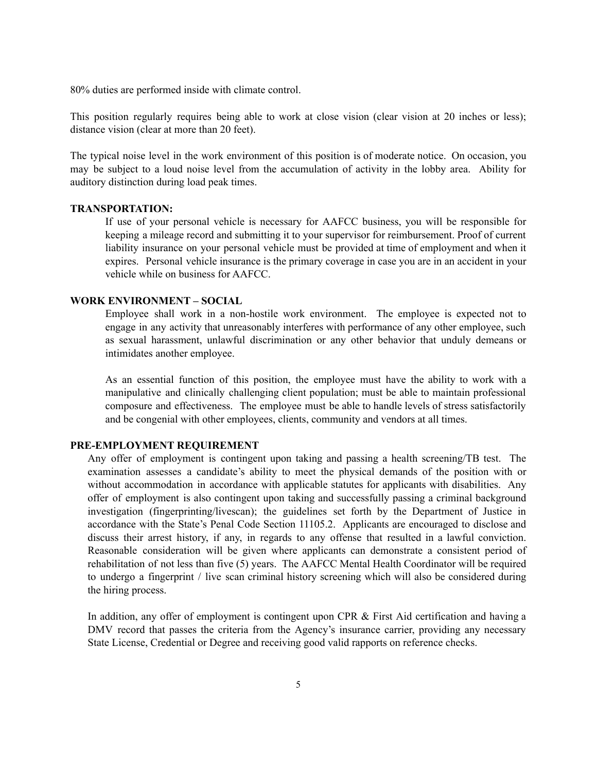80% duties are performed inside with climate control.

This position regularly requires being able to work at close vision (clear vision at 20 inches or less); distance vision (clear at more than 20 feet).

The typical noise level in the work environment of this position is of moderate notice. On occasion, you may be subject to a loud noise level from the accumulation of activity in the lobby area. Ability for auditory distinction during load peak times.

### **TRANSPORTATION:**

If use of your personal vehicle is necessary for AAFCC business, you will be responsible for keeping a mileage record and submitting it to your supervisor for reimbursement. Proof of current liability insurance on your personal vehicle must be provided at time of employment and when it expires. Personal vehicle insurance is the primary coverage in case you are in an accident in your vehicle while on business for AAFCC.

# **WORK ENVIRONMENT – SOCIAL**

Employee shall work in a non-hostile work environment. The employee is expected not to engage in any activity that unreasonably interferes with performance of any other employee, such as sexual harassment, unlawful discrimination or any other behavior that unduly demeans or intimidates another employee.

As an essential function of this position, the employee must have the ability to work with a manipulative and clinically challenging client population; must be able to maintain professional composure and effectiveness. The employee must be able to handle levels of stress satisfactorily and be congenial with other employees, clients, community and vendors at all times.

### **PRE-EMPLOYMENT REQUIREMENT**

Any offer of employment is contingent upon taking and passing a health screening/TB test. The examination assesses a candidate's ability to meet the physical demands of the position with or without accommodation in accordance with applicable statutes for applicants with disabilities. Any offer of employment is also contingent upon taking and successfully passing a criminal background investigation (fingerprinting/livescan); the guidelines set forth by the Department of Justice in accordance with the State's Penal Code Section 11105.2. Applicants are encouraged to disclose and discuss their arrest history, if any, in regards to any offense that resulted in a lawful conviction. Reasonable consideration will be given where applicants can demonstrate a consistent period of rehabilitation of not less than five (5) years. The AAFCC Mental Health Coordinator will be required to undergo a fingerprint / live scan criminal history screening which will also be considered during the hiring process.

In addition, any offer of employment is contingent upon CPR & First Aid certification and having a DMV record that passes the criteria from the Agency's insurance carrier, providing any necessary State License, Credential or Degree and receiving good valid rapports on reference checks.